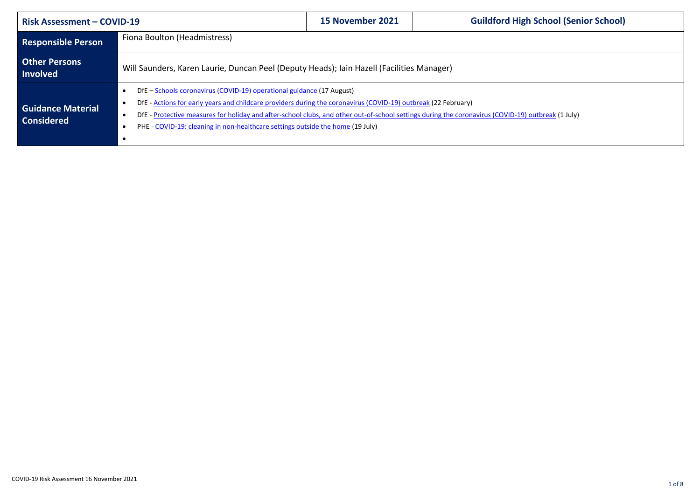| <b>Risk Assessment - COVID-19</b>             |                                                                                                                                                                                                                                                                                                                                                                                                                                 | 15 November 2021 | <b>Guildford High School (Senior School)</b> |  |  |  |
|-----------------------------------------------|---------------------------------------------------------------------------------------------------------------------------------------------------------------------------------------------------------------------------------------------------------------------------------------------------------------------------------------------------------------------------------------------------------------------------------|------------------|----------------------------------------------|--|--|--|
| <b>Responsible Person</b>                     | Fiona Boulton (Headmistress)                                                                                                                                                                                                                                                                                                                                                                                                    |                  |                                              |  |  |  |
| <b>Other Persons</b><br><b>Involved</b>       | Will Saunders, Karen Laurie, Duncan Peel (Deputy Heads); Iain Hazell (Facilities Manager)                                                                                                                                                                                                                                                                                                                                       |                  |                                              |  |  |  |
| <b>Guidance Material</b><br><b>Considered</b> | DfE - Schools coronavirus (COVID-19) operational guidance (17 August)<br>DfE - Actions for early years and childcare providers during the coronavirus (COVID-19) outbreak (22 February)<br>DfE - Protective measures for holiday and after-school clubs, and other out-of-school settings during the coronavirus (COVID-19) outbreak (1 July)<br>PHE - COVID-19: cleaning in non-healthcare settings outside the home (19 July) |                  |                                              |  |  |  |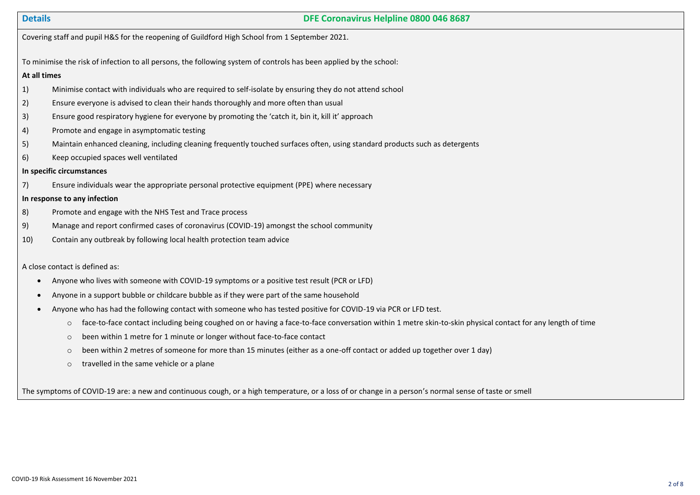# **Details DFE Coronavirus Helpline 0800 046 8687**

Covering staff and pupil H&S for the reopening of Guildford High School from 1 September 2021.

To minimise the risk of infection to all persons, the following system of controls has been applied by the school:

### **At all times**

- 1) Minimise contact with individuals who are required to self-isolate by ensuring they do not attend school
- 2) Ensure everyone is advised to clean their hands thoroughly and more often than usual
- 3) Ensure good respiratory hygiene for everyone by promoting the 'catch it, bin it, kill it' approach
- 4) Promote and engage in asymptomatic testing
- 5) Maintain enhanced cleaning, including cleaning frequently touched surfaces often, using standard products such as detergents
- 6) Keep occupied spaces well ventilated

# **In specific circumstances**

7) Ensure individuals wear the appropriate personal protective equipment (PPE) where necessary

**In response to any infection** 

- 8) Promote and engage with the NHS Test and Trace process
- 9) Manage and report confirmed cases of coronavirus (COVID-19) amongst the school community
- 10) Contain any outbreak by following local health protection team advice

## A close contact is defined as:

- Anyone who lives with someone with COVID-19 symptoms or a positive test result (PCR or LFD)
- Anyone in a support bubble or childcare bubble as if they were part of the same household
- Anyone who has had the following contact with someone who has tested positive for COVID-19 via PCR or LFD test.
	- $\circ$  face-to-face contact including being coughed on or having a face-to-face conversation within 1 metre skin-to-skin physical contact for any length of time
	- o been within 1 metre for 1 minute or longer without face-to-face contact
	- $\circ$  been within 2 metres of someone for more than 15 minutes (either as a one-off contact or added up together over 1 day)
	- o travelled in the same vehicle or a plane

The symptoms of COVID-19 are: a new and continuous cough, or a high temperature, or a loss of or change in a person's normal sense of taste or smell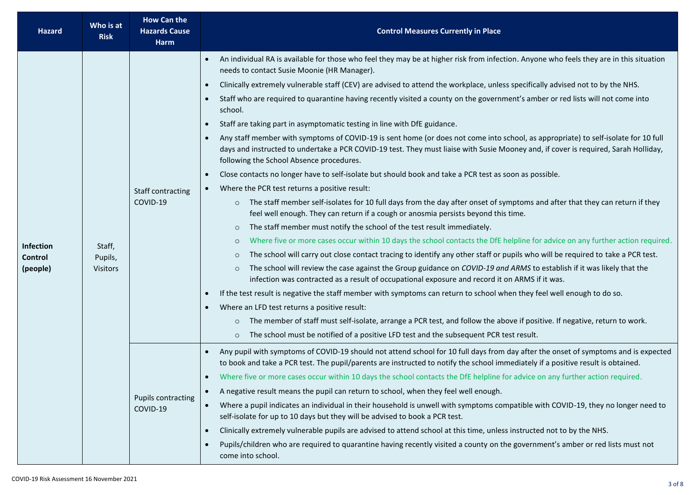| <b>Hazard</b>                    | Who is at<br><b>Risk</b>             | <b>How Can the</b><br><b>Hazards Cause</b><br>Harm | <b>Control Measures Currently in Place</b>                                                                                                                                                                                                                                                                                                                                                                                                                                                                                                                                                                                                                                                                                                                                                                                                                                                                                                                                                                                                                                                                                                                                                                                                                                                                                                                                                                                                                                                                                                                                                                                                                                                                                                                                                                                                                                                                                                                                                                                                                                                                                                                                                                                                                                                                                                                                                                                    |  |  |  |  |
|----------------------------------|--------------------------------------|----------------------------------------------------|-------------------------------------------------------------------------------------------------------------------------------------------------------------------------------------------------------------------------------------------------------------------------------------------------------------------------------------------------------------------------------------------------------------------------------------------------------------------------------------------------------------------------------------------------------------------------------------------------------------------------------------------------------------------------------------------------------------------------------------------------------------------------------------------------------------------------------------------------------------------------------------------------------------------------------------------------------------------------------------------------------------------------------------------------------------------------------------------------------------------------------------------------------------------------------------------------------------------------------------------------------------------------------------------------------------------------------------------------------------------------------------------------------------------------------------------------------------------------------------------------------------------------------------------------------------------------------------------------------------------------------------------------------------------------------------------------------------------------------------------------------------------------------------------------------------------------------------------------------------------------------------------------------------------------------------------------------------------------------------------------------------------------------------------------------------------------------------------------------------------------------------------------------------------------------------------------------------------------------------------------------------------------------------------------------------------------------------------------------------------------------------------------------------------------------|--|--|--|--|
| Infection<br>Control<br>(people) | Staff,<br>Pupils,<br><b>Visitors</b> | Staff contracting<br>COVID-19                      | An individual RA is available for those who feel they may be at higher risk from infection. Anyone who feels they are in this situation<br>$\bullet$<br>needs to contact Susie Moonie (HR Manager).<br>Clinically extremely vulnerable staff (CEV) are advised to attend the workplace, unless specifically advised not to by the NHS.<br>$\bullet$<br>Staff who are required to quarantine having recently visited a county on the government's amber or red lists will not come into<br>$\bullet$<br>school.<br>Staff are taking part in asymptomatic testing in line with DfE guidance.<br>$\bullet$<br>Any staff member with symptoms of COVID-19 is sent home (or does not come into school, as appropriate) to self-isolate for 10 full<br>$\bullet$<br>days and instructed to undertake a PCR COVID-19 test. They must liaise with Susie Mooney and, if cover is required, Sarah Holliday,<br>following the School Absence procedures.<br>Close contacts no longer have to self-isolate but should book and take a PCR test as soon as possible.<br>$\bullet$<br>Where the PCR test returns a positive result:<br>The staff member self-isolates for 10 full days from the day after onset of symptoms and after that they can return if they<br>$\circ$<br>feel well enough. They can return if a cough or anosmia persists beyond this time.<br>The staff member must notify the school of the test result immediately.<br>$\circ$<br>Where five or more cases occur within 10 days the school contacts the DfE helpline for advice on any further action required.<br>$\circ$<br>The school will carry out close contact tracing to identify any other staff or pupils who will be required to take a PCR test.<br>$\circ$<br>The school will review the case against the Group guidance on COVID-19 and ARMS to establish if it was likely that the<br>$\circ$<br>infection was contracted as a result of occupational exposure and record it on ARMS if it was.<br>If the test result is negative the staff member with symptoms can return to school when they feel well enough to do so.<br>$\bullet$<br>Where an LFD test returns a positive result:<br>$\bullet$<br>The member of staff must self-isolate, arrange a PCR test, and follow the above if positive. If negative, return to work.<br>$\circ$<br>The school must be notified of a positive LFD test and the subsequent PCR test result.<br>$\circ$ |  |  |  |  |
|                                  |                                      | <b>Pupils contracting</b><br>COVID-19              | Any pupil with symptoms of COVID-19 should not attend school for 10 full days from day after the onset of symptoms and is expected<br>$\bullet$<br>to book and take a PCR test. The pupil/parents are instructed to notify the school immediately if a positive result is obtained.<br>Where five or more cases occur within 10 days the school contacts the DfE helpline for advice on any further action required.<br>A negative result means the pupil can return to school, when they feel well enough.<br>$\bullet$<br>Where a pupil indicates an individual in their household is unwell with symptoms compatible with COVID-19, they no longer need to<br>self-isolate for up to 10 days but they will be advised to book a PCR test.<br>Clinically extremely vulnerable pupils are advised to attend school at this time, unless instructed not to by the NHS.<br>$\bullet$<br>Pupils/children who are required to quarantine having recently visited a county on the government's amber or red lists must not<br>$\bullet$<br>come into school.                                                                                                                                                                                                                                                                                                                                                                                                                                                                                                                                                                                                                                                                                                                                                                                                                                                                                                                                                                                                                                                                                                                                                                                                                                                                                                                                                                      |  |  |  |  |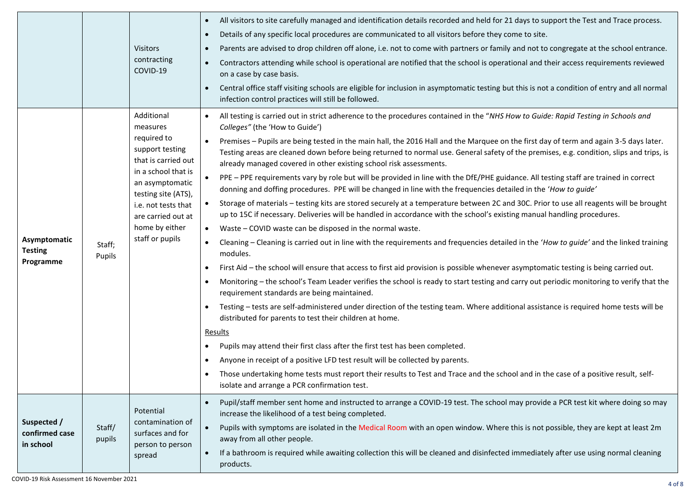|                                |                  |                                                                                                                                                                                                          | All visitors to site carefully managed and identification details recorded and held for 21 days to support the Test and Trace process.<br>$\bullet$                                                                                                                                                                                                    |
|--------------------------------|------------------|----------------------------------------------------------------------------------------------------------------------------------------------------------------------------------------------------------|--------------------------------------------------------------------------------------------------------------------------------------------------------------------------------------------------------------------------------------------------------------------------------------------------------------------------------------------------------|
|                                |                  |                                                                                                                                                                                                          | Details of any specific local procedures are communicated to all visitors before they come to site.<br>$\bullet$                                                                                                                                                                                                                                       |
|                                |                  | <b>Visitors</b>                                                                                                                                                                                          | Parents are advised to drop children off alone, i.e. not to come with partners or family and not to congregate at the school entrance.<br>$\bullet$                                                                                                                                                                                                    |
|                                |                  | contracting<br>COVID-19                                                                                                                                                                                  | Contractors attending while school is operational are notified that the school is operational and their access requirements reviewed<br>$\bullet$<br>on a case by case basis.                                                                                                                                                                          |
|                                |                  |                                                                                                                                                                                                          | Central office staff visiting schools are eligible for inclusion in asymptomatic testing but this is not a condition of entry and all normal<br>infection control practices will still be followed.                                                                                                                                                    |
|                                |                  | Additional<br>measures                                                                                                                                                                                   | All testing is carried out in strict adherence to the procedures contained in the "NHS How to Guide: Rapid Testing in Schools and<br>Colleges" (the 'How to Guide')                                                                                                                                                                                    |
|                                |                  | required to<br>support testing<br>that is carried out<br>in a school that is<br>an asymptomatic<br>testing site (ATS),<br>i.e. not tests that<br>are carried out at<br>home by either<br>staff or pupils | Premises - Pupils are being tested in the main hall, the 2016 Hall and the Marquee on the first day of term and again 3-5 days later.<br>Testing areas are cleaned down before being returned to normal use. General safety of the premises, e.g. condition, slips and trips, is<br>already managed covered in other existing school risk assessments. |
|                                |                  |                                                                                                                                                                                                          | PPE - PPE requirements vary by role but will be provided in line with the DfE/PHE guidance. All testing staff are trained in correct<br>donning and doffing procedures. PPE will be changed in line with the frequencies detailed in the 'How to quide'                                                                                                |
| Asymptomatic<br><b>Testing</b> |                  |                                                                                                                                                                                                          | Storage of materials - testing kits are stored securely at a temperature between 2C and 30C. Prior to use all reagents will be brought<br>up to 15C if necessary. Deliveries will be handled in accordance with the school's existing manual handling procedures.                                                                                      |
|                                |                  |                                                                                                                                                                                                          | Waste - COVID waste can be disposed in the normal waste.<br>$\bullet$                                                                                                                                                                                                                                                                                  |
|                                | Staff;<br>Pupils |                                                                                                                                                                                                          | Cleaning - Cleaning is carried out in line with the requirements and frequencies detailed in the 'How to guide' and the linked training<br>modules.                                                                                                                                                                                                    |
| Programme                      |                  |                                                                                                                                                                                                          | First Aid - the school will ensure that access to first aid provision is possible whenever asymptomatic testing is being carried out.                                                                                                                                                                                                                  |
|                                |                  |                                                                                                                                                                                                          | Monitoring - the school's Team Leader verifies the school is ready to start testing and carry out periodic monitoring to verify that the<br>٠<br>requirement standards are being maintained.                                                                                                                                                           |
|                                |                  |                                                                                                                                                                                                          | Testing – tests are self-administered under direction of the testing team. Where additional assistance is required home tests will be<br>distributed for parents to test their children at home.                                                                                                                                                       |
|                                |                  |                                                                                                                                                                                                          | Results                                                                                                                                                                                                                                                                                                                                                |
|                                |                  |                                                                                                                                                                                                          | Pupils may attend their first class after the first test has been completed.<br>٠                                                                                                                                                                                                                                                                      |
|                                |                  |                                                                                                                                                                                                          | Anyone in receipt of a positive LFD test result will be collected by parents.<br>٠                                                                                                                                                                                                                                                                     |
|                                |                  |                                                                                                                                                                                                          | Those undertaking home tests must report their results to Test and Trace and the school and in the case of a positive result, self-<br>٠<br>isolate and arrange a PCR confirmation test.                                                                                                                                                               |
|                                |                  | Potential                                                                                                                                                                                                | Pupil/staff member sent home and instructed to arrange a COVID-19 test. The school may provide a PCR test kit where doing so may<br>$\bullet$<br>increase the likelihood of a test being completed.                                                                                                                                                    |
| Suspected /<br>confirmed case  | Staff/<br>pupils | contamination of<br>surfaces and for<br>person to person<br>spread                                                                                                                                       | Pupils with symptoms are isolated in the Medical Room with an open window. Where this is not possible, they are kept at least 2m<br>$\bullet$<br>away from all other people.                                                                                                                                                                           |
| in school                      |                  |                                                                                                                                                                                                          | If a bathroom is required while awaiting collection this will be cleaned and disinfected immediately after use using normal cleaning<br>products.                                                                                                                                                                                                      |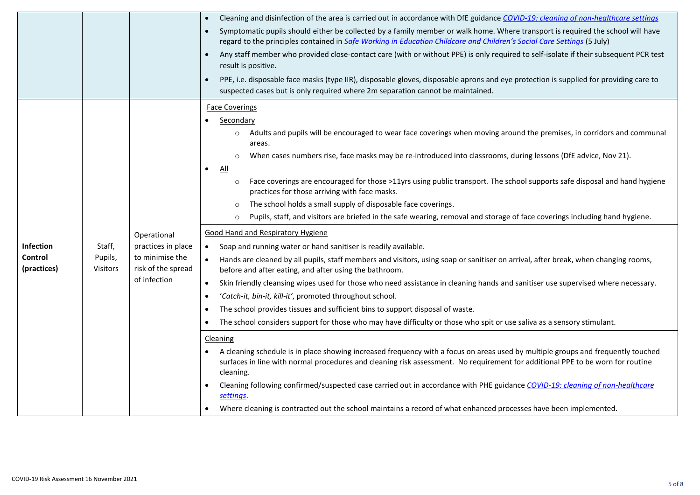|                                            |                                      |                                                                                            | Cleaning and disinfection of the area is carried out in accordance with DfE guidance COVID-19: cleaning of non-healthcare settings<br>$\bullet$<br>Symptomatic pupils should either be collected by a family member or walk home. Where transport is required the school will have<br>$\bullet$<br>regard to the principles contained in Safe Working in Education Childcare and Children's Social Care Settings (5 July)<br>Any staff member who provided close-contact care (with or without PPE) is only required to self-isolate if their subsequent PCR test<br>$\bullet$<br>result is positive.<br>PPE, i.e. disposable face masks (type IIR), disposable gloves, disposable aprons and eye protection is supplied for providing care to<br>$\bullet$<br>suspected cases but is only required where 2m separation cannot be maintained.                                                                                                                                                                                                                                                                                                                                                                                                                                                                                                                                                                                                                                                                                                                                                                                                                                                                                                                                                                                                                                                                                                                                                                                                                                                                                  |
|--------------------------------------------|--------------------------------------|--------------------------------------------------------------------------------------------|--------------------------------------------------------------------------------------------------------------------------------------------------------------------------------------------------------------------------------------------------------------------------------------------------------------------------------------------------------------------------------------------------------------------------------------------------------------------------------------------------------------------------------------------------------------------------------------------------------------------------------------------------------------------------------------------------------------------------------------------------------------------------------------------------------------------------------------------------------------------------------------------------------------------------------------------------------------------------------------------------------------------------------------------------------------------------------------------------------------------------------------------------------------------------------------------------------------------------------------------------------------------------------------------------------------------------------------------------------------------------------------------------------------------------------------------------------------------------------------------------------------------------------------------------------------------------------------------------------------------------------------------------------------------------------------------------------------------------------------------------------------------------------------------------------------------------------------------------------------------------------------------------------------------------------------------------------------------------------------------------------------------------------------------------------------------------------------------------------------------------------|
| <b>Infection</b><br>Control<br>(practices) | Staff,<br>Pupils,<br><b>Visitors</b> | Operational<br>practices in place<br>to minimise the<br>risk of the spread<br>of infection | <b>Face Coverings</b><br>Secondary<br>$\bullet$<br>Adults and pupils will be encouraged to wear face coverings when moving around the premises, in corridors and communal<br>$\circ$<br>areas.<br>When cases numbers rise, face masks may be re-introduced into classrooms, during lessons (DfE advice, Nov 21).<br>$\circ$<br><u>All</u><br>$\bullet$<br>Face coverings are encouraged for those >11yrs using public transport. The school supports safe disposal and hand hygiene<br>$\circ$<br>practices for those arriving with face masks.<br>The school holds a small supply of disposable face coverings.<br>$\circ$<br>Pupils, staff, and visitors are briefed in the safe wearing, removal and storage of face coverings including hand hygiene.<br>$\circ$<br><b>Good Hand and Respiratory Hygiene</b><br>Soap and running water or hand sanitiser is readily available.<br>$\bullet$<br>Hands are cleaned by all pupils, staff members and visitors, using soap or sanitiser on arrival, after break, when changing rooms,<br>before and after eating, and after using the bathroom.<br>Skin friendly cleansing wipes used for those who need assistance in cleaning hands and sanitiser use supervised where necessary.<br>$\bullet$<br>'Catch-it, bin-it, kill-it', promoted throughout school.<br>$\bullet$<br>The school provides tissues and sufficient bins to support disposal of waste.<br>$\bullet$<br>The school considers support for those who may have difficulty or those who spit or use saliva as a sensory stimulant.<br>$\bullet$<br>Cleaning<br>A cleaning schedule is in place showing increased frequency with a focus on areas used by multiple groups and frequently touched<br>surfaces in line with normal procedures and cleaning risk assessment. No requirement for additional PPE to be worn for routine<br>cleaning.<br>Cleaning following confirmed/suspected case carried out in accordance with PHE guidance COVID-19: cleaning of non-healthcare<br>settings.<br>Where cleaning is contracted out the school maintains a record of what enhanced processes have been implemented. |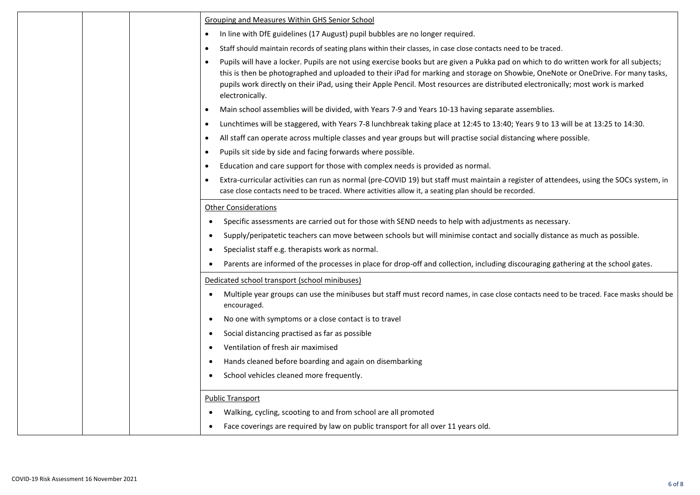|  | <b>Grouping and Measures Within GHS Senior School</b>                                                                                                                                                                                                                                                                                                                                                                                          |
|--|------------------------------------------------------------------------------------------------------------------------------------------------------------------------------------------------------------------------------------------------------------------------------------------------------------------------------------------------------------------------------------------------------------------------------------------------|
|  | In line with DfE guidelines (17 August) pupil bubbles are no longer required.<br>$\bullet$                                                                                                                                                                                                                                                                                                                                                     |
|  | Staff should maintain records of seating plans within their classes, in case close contacts need to be traced.<br>$\bullet$                                                                                                                                                                                                                                                                                                                    |
|  | Pupils will have a locker. Pupils are not using exercise books but are given a Pukka pad on which to do written work for all subjects;<br>$\bullet$<br>this is then be photographed and uploaded to their iPad for marking and storage on Showbie, OneNote or OneDrive. For many tasks,<br>pupils work directly on their iPad, using their Apple Pencil. Most resources are distributed electronically; most work is marked<br>electronically. |
|  | Main school assemblies will be divided, with Years 7-9 and Years 10-13 having separate assemblies.<br>$\bullet$                                                                                                                                                                                                                                                                                                                                |
|  | Lunchtimes will be staggered, with Years 7-8 lunchbreak taking place at 12:45 to 13:40; Years 9 to 13 will be at 13:25 to 14:30.<br>$\bullet$                                                                                                                                                                                                                                                                                                  |
|  | All staff can operate across multiple classes and year groups but will practise social distancing where possible.<br>$\bullet$                                                                                                                                                                                                                                                                                                                 |
|  | Pupils sit side by side and facing forwards where possible.<br>$\bullet$                                                                                                                                                                                                                                                                                                                                                                       |
|  | Education and care support for those with complex needs is provided as normal.<br>$\bullet$                                                                                                                                                                                                                                                                                                                                                    |
|  | Extra-curricular activities can run as normal (pre-COVID 19) but staff must maintain a register of attendees, using the SOCs system, in<br>$\bullet$<br>case close contacts need to be traced. Where activities allow it, a seating plan should be recorded.                                                                                                                                                                                   |
|  | <b>Other Considerations</b>                                                                                                                                                                                                                                                                                                                                                                                                                    |
|  | Specific assessments are carried out for those with SEND needs to help with adjustments as necessary.<br>$\bullet$                                                                                                                                                                                                                                                                                                                             |
|  | Supply/peripatetic teachers can move between schools but will minimise contact and socially distance as much as possible.<br>$\bullet$                                                                                                                                                                                                                                                                                                         |
|  | Specialist staff e.g. therapists work as normal.<br>$\bullet$                                                                                                                                                                                                                                                                                                                                                                                  |
|  | Parents are informed of the processes in place for drop-off and collection, including discouraging gathering at the school gates.<br>$\bullet$                                                                                                                                                                                                                                                                                                 |
|  | Dedicated school transport (school minibuses)                                                                                                                                                                                                                                                                                                                                                                                                  |
|  | Multiple year groups can use the minibuses but staff must record names, in case close contacts need to be traced. Face masks should be<br>encouraged.                                                                                                                                                                                                                                                                                          |
|  | No one with symptoms or a close contact is to travel<br>$\bullet$                                                                                                                                                                                                                                                                                                                                                                              |
|  | Social distancing practised as far as possible<br>$\bullet$                                                                                                                                                                                                                                                                                                                                                                                    |
|  | Ventilation of fresh air maximised<br>٠                                                                                                                                                                                                                                                                                                                                                                                                        |
|  | Hands cleaned before boarding and again on disembarking<br>٠                                                                                                                                                                                                                                                                                                                                                                                   |
|  | School vehicles cleaned more frequently.<br>$\bullet$                                                                                                                                                                                                                                                                                                                                                                                          |
|  | <b>Public Transport</b>                                                                                                                                                                                                                                                                                                                                                                                                                        |
|  | Walking, cycling, scooting to and from school are all promoted                                                                                                                                                                                                                                                                                                                                                                                 |
|  | Face coverings are required by law on public transport for all over 11 years old.<br>$\bullet$                                                                                                                                                                                                                                                                                                                                                 |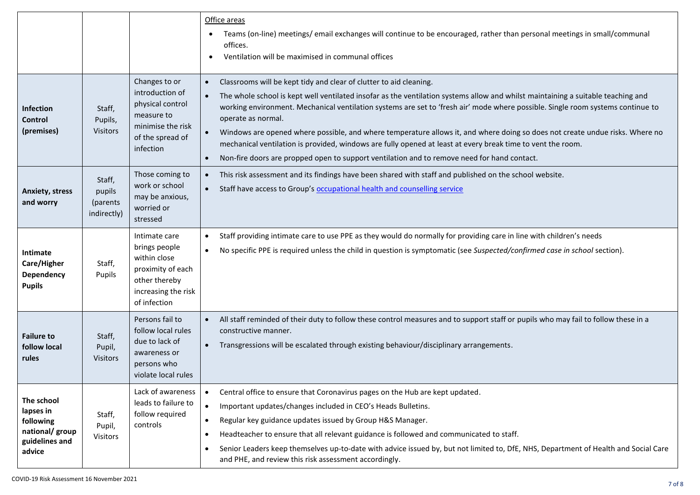|                                                                                     |                                             |                                                                                                                             | Office areas<br>Teams (on-line) meetings/email exchanges will continue to be encouraged, rather than personal meetings in small/communal<br>offices.<br>Ventilation will be maximised in communal offices                                                                                                                                                                                                                                                                                                                                                                                                                                                                                                                                            |
|-------------------------------------------------------------------------------------|---------------------------------------------|-----------------------------------------------------------------------------------------------------------------------------|------------------------------------------------------------------------------------------------------------------------------------------------------------------------------------------------------------------------------------------------------------------------------------------------------------------------------------------------------------------------------------------------------------------------------------------------------------------------------------------------------------------------------------------------------------------------------------------------------------------------------------------------------------------------------------------------------------------------------------------------------|
| <b>Infection</b><br><b>Control</b><br>(premises)                                    | Staff,<br>Pupils,<br>Visitors               | Changes to or<br>introduction of<br>physical control<br>measure to<br>minimise the risk<br>of the spread of<br>infection    | Classrooms will be kept tidy and clear of clutter to aid cleaning.<br>$\bullet$<br>The whole school is kept well ventilated insofar as the ventilation systems allow and whilst maintaining a suitable teaching and<br>working environment. Mechanical ventilation systems are set to 'fresh air' mode where possible. Single room systems continue to<br>operate as normal.<br>Windows are opened where possible, and where temperature allows it, and where doing so does not create undue risks. Where no<br>$\bullet$<br>mechanical ventilation is provided, windows are fully opened at least at every break time to vent the room.<br>Non-fire doors are propped open to support ventilation and to remove need for hand contact.<br>$\bullet$ |
| <b>Anxiety, stress</b><br>and worry                                                 | Staff,<br>pupils<br>(parents<br>indirectly) | Those coming to<br>work or school<br>may be anxious,<br>worried or<br>stressed                                              | This risk assessment and its findings have been shared with staff and published on the school website.<br>$\bullet$<br>Staff have access to Group's occupational health and counselling service                                                                                                                                                                                                                                                                                                                                                                                                                                                                                                                                                      |
| Intimate<br>Care/Higher<br>Dependency<br><b>Pupils</b>                              | Staff,<br>Pupils                            | Intimate care<br>brings people<br>within close<br>proximity of each<br>other thereby<br>increasing the risk<br>of infection | Staff providing intimate care to use PPE as they would do normally for providing care in line with children's needs<br>$\bullet$<br>No specific PPE is required unless the child in question is symptomatic (see Suspected/confirmed case in school section).<br>$\bullet$                                                                                                                                                                                                                                                                                                                                                                                                                                                                           |
| <b>Failure to</b><br>follow local<br>rules                                          | Staff,<br>Pupil,<br><b>Visitors</b>         | Persons fail to<br>follow local rules<br>due to lack of<br>awareness or<br>persons who<br>violate local rules               | All staff reminded of their duty to follow these control measures and to support staff or pupils who may fail to follow these in a<br>constructive manner.<br>Transgressions will be escalated through existing behaviour/disciplinary arrangements.                                                                                                                                                                                                                                                                                                                                                                                                                                                                                                 |
| The school<br>lapses in<br>following<br>national/ group<br>guidelines and<br>advice | Staff,<br>Pupil,<br><b>Visitors</b>         | Lack of awareness<br>leads to failure to<br>follow required<br>controls                                                     | Central office to ensure that Coronavirus pages on the Hub are kept updated.<br>$\bullet$<br>$\bullet$<br>Important updates/changes included in CEO's Heads Bulletins.<br>Regular key guidance updates issued by Group H&S Manager.<br>$\bullet$<br>Headteacher to ensure that all relevant guidance is followed and communicated to staff.<br>$\bullet$<br>Senior Leaders keep themselves up-to-date with advice issued by, but not limited to, DfE, NHS, Department of Health and Social Care<br>$\bullet$<br>and PHE, and review this risk assessment accordingly.                                                                                                                                                                                |